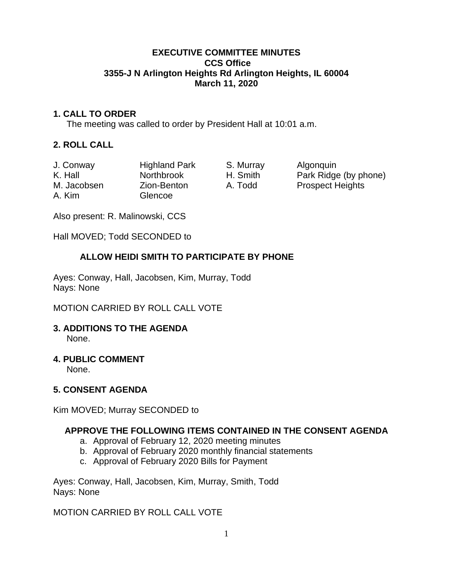### **EXECUTIVE COMMITTEE MINUTES CCS Office 3355-J N Arlington Heights Rd Arlington Heights, IL 60004 March 11, 2020**

# **1. CALL TO ORDER**

The meeting was called to order by President Hall at 10:01 a.m.

## **2. ROLL CALL**

| J. Conway   | <b>Highland Park</b> | S. Murray | Algonquin               |
|-------------|----------------------|-----------|-------------------------|
| K. Hall     | <b>Northbrook</b>    | H. Smith  | Park Ridge (by phone)   |
| M. Jacobsen | Zion-Benton          | A. Todd   | <b>Prospect Heights</b> |
| A. Kim      | Glencoe              |           |                         |

Also present: R. Malinowski, CCS

Hall MOVED; Todd SECONDED to

## **ALLOW HEIDI SMITH TO PARTICIPATE BY PHONE**

Ayes: Conway, Hall, Jacobsen, Kim, Murray, Todd Nays: None

MOTION CARRIED BY ROLL CALL VOTE

#### **3. ADDITIONS TO THE AGENDA**  None.

# **4. PUBLIC COMMENT**

None.

# **5. CONSENT AGENDA**

Kim MOVED; Murray SECONDED to

### **APPROVE THE FOLLOWING ITEMS CONTAINED IN THE CONSENT AGENDA**

- a. Approval of February 12, 2020 meeting minutes
- b. Approval of February 2020 monthly financial statements
- c. Approval of February 2020 Bills for Payment

Ayes: Conway, Hall, Jacobsen, Kim, Murray, Smith, Todd Nays: None

MOTION CARRIED BY ROLL CALL VOTE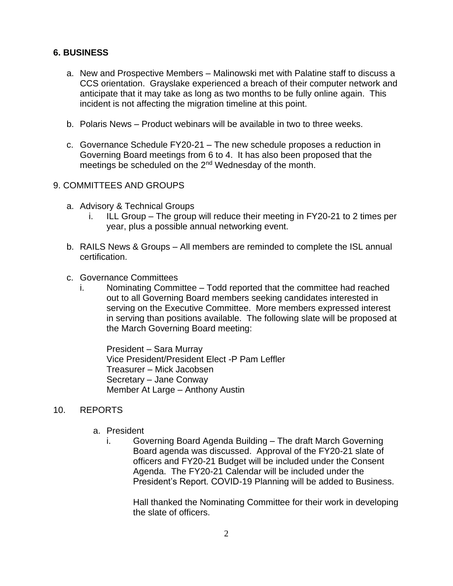## **6. BUSINESS**

- a. New and Prospective Members Malinowski met with Palatine staff to discuss a CCS orientation. Grayslake experienced a breach of their computer network and anticipate that it may take as long as two months to be fully online again. This incident is not affecting the migration timeline at this point.
- b. Polaris News Product webinars will be available in two to three weeks.
- c. Governance Schedule FY20-21 The new schedule proposes a reduction in Governing Board meetings from 6 to 4. It has also been proposed that the meetings be scheduled on the 2<sup>nd</sup> Wednesday of the month.

### 9. COMMITTEES AND GROUPS

- a. Advisory & Technical Groups
	- i. ILL Group The group will reduce their meeting in FY20-21 to 2 times per year, plus a possible annual networking event.
- b. RAILS News & Groups All members are reminded to complete the ISL annual certification.
- c. Governance Committees
	- i. Nominating Committee Todd reported that the committee had reached out to all Governing Board members seeking candidates interested in serving on the Executive Committee. More members expressed interest in serving than positions available. The following slate will be proposed at the March Governing Board meeting:

President – Sara Murray Vice President/President Elect -P Pam Leffler Treasurer – Mick Jacobsen Secretary – Jane Conway Member At Large – Anthony Austin

#### 10. REPORTS

- a. President
	- i. Governing Board Agenda Building The draft March Governing Board agenda was discussed. Approval of the FY20-21 slate of officers and FY20-21 Budget will be included under the Consent Agenda. The FY20-21 Calendar will be included under the President's Report. COVID-19 Planning will be added to Business.

Hall thanked the Nominating Committee for their work in developing the slate of officers.